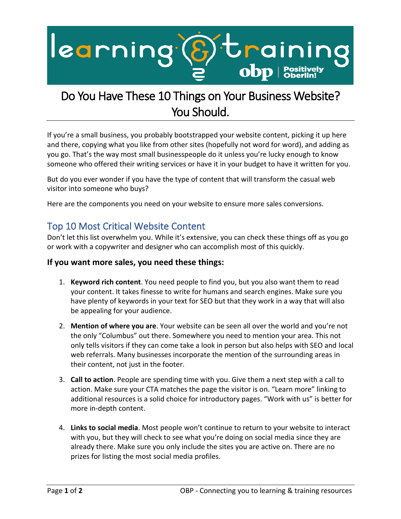

## Do You Have These 10 Things on Your Business Website? You Should.

If you're a small business, you probably bootstrapped your website content, picking it up here and there, copying what you like from other sites (hopefully not word for word), and adding as you go. That's the way most small businesspeople do it unless you're lucky enough to know someone who offered their writing services or have it in your budget to have it written for you.

But do you ever wonder if you have the type of content that will transform the casual web visitor into someone who buys?

Here are the components you need on your website to ensure more sales conversions.

## Top 10 Most Critical Website Content

Don't let this list overwhelm you. While it's extensive, you can check these things off as you go or work with a copywriter and designer who can accomplish most of this quickly.

## **If you want more sales, you need these things:**

- 1. **Keyword rich content**. You need people to find you, but you also want them to read your content. It takes finesse to write for humans and search engines. Make sure you have plenty of keywords in your text for SEO but that they work in a way that will also be appealing for your audience.
- 2. **Mention of where you are**. Your website can be seen all over the world and you're not the only "Columbus" out there. Somewhere you need to mention your area. This not only tells visitors if they can come take a look in person but also helps with SEO and local web referrals. Many businesses incorporate the mention of the surrounding areas in their content, not just in the footer.
- 3. **Call to action**. People are spending time with you. Give them a next step with a call to action. Make sure your CTA matches the page the visitor is on. "Learn more" linking to additional resources is a solid choice for introductory pages. "Work with us" is better for more in-depth content.
- 4. **Links to social media**. Most people won't continue to return to your website to interact with you, but they will check to see what you're doing on social media since they are already there. Make sure you only include the sites you are active on. There are no prizes for listing the most social media profiles.